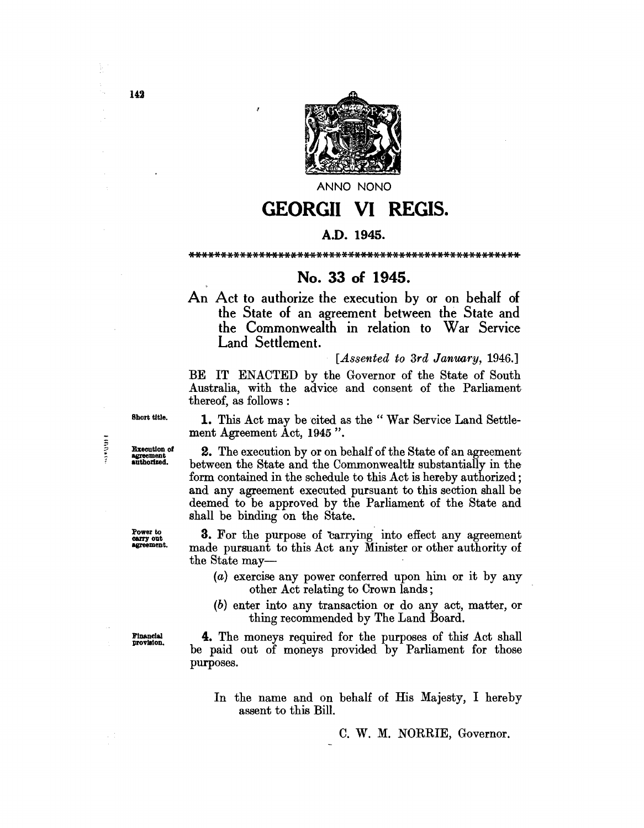

**ANNO NONO** 

# **GEORGII VI REGIS.**

## A.D. 1945.

#### \*\*\*\*\*\*\*\*\*\*\*\*\*\*\*\*\*\*\*\*\*\*\*\*\*\*\*\*\*\*\*\*\*\*\*\*\*\*\*\*\*\*\*\*\*\*\*\*\*\*\*\*

## No. 33 of 1945.

An Act to authorize the execution by or on behalf of the State of an agreement between the State and the Commonwealth in relation to War Service Land Settlement.

[*Assented to 3rd January, 1946.]* 

BE IT ENACTED by the Governor of the State of South Australia, with the advice and consent of the Parliament thereof, as follows :

Short title.

Execution of agreement authorized.

**HRRACH** 

Power to carry out agreement.

1. This Act may be cited as the " War Service Land Settlement Agreement Act, 1945 ".

2. The execution by or on behalf of the State of an agreement between the State and the Commonwealth substantially in the form contained in the schedule to this Act is hereby authorized; and any agreement executed pursuant to this section shall be deemed to be approved by the Parliament of the State and shall be binding on the State.

**3.** For the purpose of carrying into effect any agreement made pursuant to this Act any Minister or other authority of the State may-

- $(a)$  exercise any power conferred upon him or it by any other Act relating to Crown lands;
- (b) enter into any transaction or do any act, matter, or thing recommended by The Land Board.

**Financial** provlaion.

n C

4. The moneys required for the purposes of this Act shall be paid out of moneys provided. by Parliament for those purposes.

In the name and on behalf of His Majesty, I hereby assent to this Bill.

C. W. M. NORRIE, Governor.

Ì

142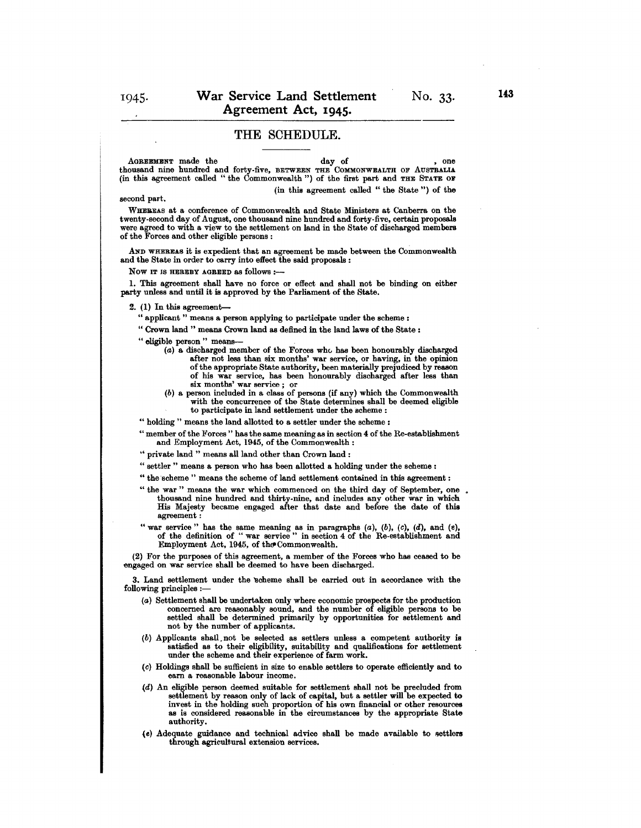### **THE** SCHEDULE.

AGREEMENT made the day of , one thousand nine hundred and forty-five, BETWEEN THE COMMONWEALTH OF AUSTBALIA (in this agreement called " the Commonwealth ") of the first part and THE STATE OF (in this agreement called" the State ") of the

#### second part.

WHEBEAS at a conference of Commonwealth and State Ministers at Canberra on the were agreed to with a view to the settlement on land in the State of discharged members of the Forces and other eligible persons:

AND WHEREAS it is expedient that an agreement be made between the Commonwealth and the State in order to carry into effect the said proposals :

Now IT IS HEREBY AGREED as follows:-

1. This agreement shall have no force or effect and shall not be binding on either party unless and until it is approved by the Parliament of the State.

 $2.$  (1) In this agreement-

" applicant" means a person applying to participate under the scheme:

" Crown land" means Crown land as defined in the land laws of the State :

" eligible person " means-

- $(a)$  a discharged member of the Forces who has been honourably discharged after not less than six months' war service, or having, in the opinion<br>of the appropriate State authority, been materially prejudiced by reason of the appropriate State authority, been materially prejudiced by reason of his war service, has been honourably discharged after less than six months' war service; or
- (b) a person included in a class of persons (if any) which the Commonwealth with the concurrence of the State determines shall be deemed eligible to participate in land settlement under the scheme:
- " holding" means the land allotted to a settler under the scheme:

" member of the Forces" has the same meaning as in section 4 of the Re-establishment and Employment Act, 1945, of the Commonwealth:

- $\lq\lq$  private land " means all land other than Crown land :
- " settler" means a person who has been allotted a holding under the scheme:
- " the scheme " means the scheme of land settlement contained in this agreement :
- "the war" means the war which commenced on the third day of September, one thousand nine hundred and thirty-nine, and includes any other war in which His Majesty became engaged after that date and before the date of this agreement:
- " war service" has the same meaning as in paragraphs  $(a)$ ,  $(b)$ ,  $(c)$ ,  $(d)$ , and  $(e)$ , of the definition of "war service" in section 4 of the Re-establishment and Employment Act, 1945, of the Commonwealth.

(2) For the purposes of this agreement, a member of the Forces who has ceased to be engaged on war service shall be deemed to have been discharged.

3. Land settlement under the 'scheme shall be carried out in accordance with the following principles :-

- (a) Settlement shall be undertaken only where economic prospects for the production concerned are reasonably sound, and the number of eligible persons to be settled shall be determined primarily by opportunities for settlement and not by the number of applicants.
- (b) Applicants shall.not be selected as settlers unless a competent authority is satisfied as to their eligibility, suitability and qualifications for settlement under the scheme and their experience of farm work.
- (c) Holdings shall be sufficient in size to enable settlers to operate efficiently and to earn a reasonable labour income.
- (d) An eligible person deemed suitable for settlement shall not be precluded from settlement by reason only of lack of capital, but a settler will be expected to invest in the holding such proportion of his own financial or other resources as is considered reasonable in the circumstances by the appropriate State authority.
- (e) Adequate guidance and technical advice shall be made available to settlers through agricultural extension services.

No. 33.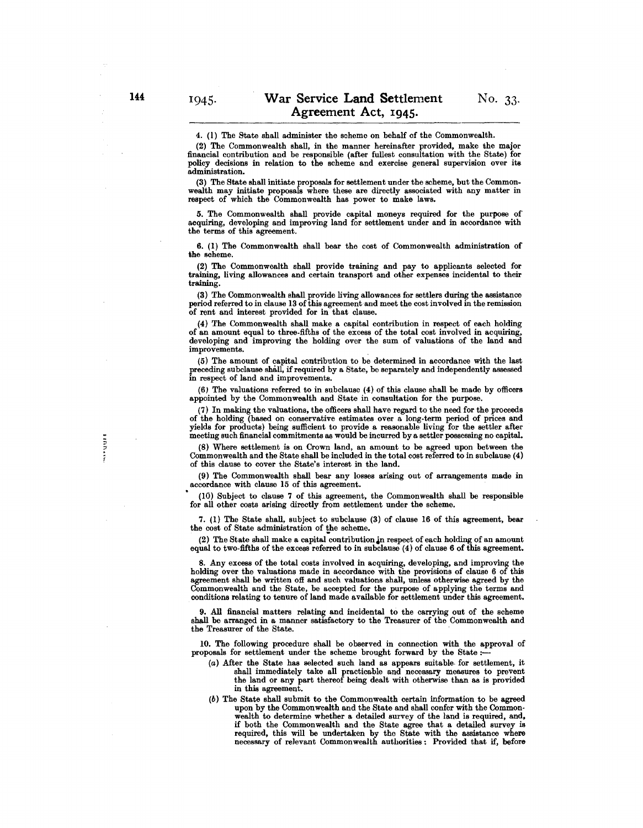4. (1) The State shall administer the scheme on behalf of the Commonwealth.

(2) The Commonwealth shall, in the manner hereinafter provided, make the major financial contribution and be responsible (after fullest consultation with the State) for policy decisions in relation to the scheme and exercise general supervision over its administration.

(3) The State shall initiate proposals for settlement under the scheme, but the Commonwealth may initiate proposals where these are directly associated with any matter in respect of which the Commonwealth has power to make laws.

5. The Commonwealth shall provide capital moneys required for the purpose of acquiring, developing and improving land for settlement under and in accordance with the terms of this agreement.

6. (1) The Commonwealth shall bear the cost of Commonwealth administration of the scheme.

(2) The Commonwealth shall provide training and pay to applicants selected for training, living allowances and certain transport and other expenses incidental to their training.

(3) The Commonwealth shall provide living allowances for settlers during the assistance period referred to in clause 13 of this agreement and meet the cost involved in the remission of rent and interest provided for in that clause.

(4) The Commonwealth shall make a capital contribution in respect of each holding of an amount equal to three-fifths of the excess of the total cost involved in acquiring, developing and improving the holding over the sum of valuations of the land and improvements.

(5) The amount of capital contribution to be determined in accordance with the last preceding subclause shall, if required by a State, be separately and independently assessed in respect of land and improvements.

(6) The valuations referred to in subclause (4) of this clause shall be made by officers appointed by the Commonwealth and State in consultation for the purpose.

(7) In making the valuations, the officers shall have regard to the need for the proceeds of the holding (based on conservative estimates over a long.term period of prices and yields for products) being sufficient to provide a reasonable living for the settler after meeting such financial commitments as would be incurred by a settler possessing no capital.

(S) Where settlement is on Crown land, an amount to be agreed upon between the Commonwealth and the State shall be included in the total cost referred to in subclause (4) of this clause to cover the State's interest in the land.

(9) The Commonwealth shall bear any losses arising out of arrangements made in accordance with clause 15 of this agreement.

• (10) Subject to clause 7 of this agreement, the Commonwealth shall be responsible for all other costs arising directly from settlement under the scheme.

7. (1) The State shall, subject to subclause (3) of clause 16 of this agreement, bear the cost of State administration of the scheme.

(2) The State shall make a capital contribution in respect of each holding of an amount equal to two-fifths of the excess referred to in subclause (4) of clause 6 of this agreement.

S. Any excess of the total costs involved in acquiring, developing, and improving the holding over the valuations made in accordance with the provisions of clause 6 of this agreement shall be written off and such valuations shall, unless otherwise agreed by the Commonwealth and the State, be accepted for the purpose of applying the terms and conditions relating to tenure of land made available for settlement under this agreement.

9. All financial matters relating and incidental to the carrying out of the scheme shall be arranged in a manner satisfactory to the Treasurer of the Commonwealth and the Treasurer of the State.

10. The following procedure shall be observed in connection with the approval of proposals for settlement under the scheme brought forward by the State:-

- (a) After the State has selected such land as appears suitable· for settlement, it shall immediately take all practicable and necessary measures to prevent the land or any part thereof being dealt with otherwise than as is provided in this agreement.
- (b) The State shall submit to the Commonwealth certain information to be agreed upon by the Commonwealth and the State and shall confer with the Commonwealth to determine whether a detailed survey of the land is required, and, if both the Commonwealth and the State agree that a detailed survey is required, this will be undertaken by the State with the assistance where necessary of relevant Commonwealth authorities: Provided that if, before

www.uu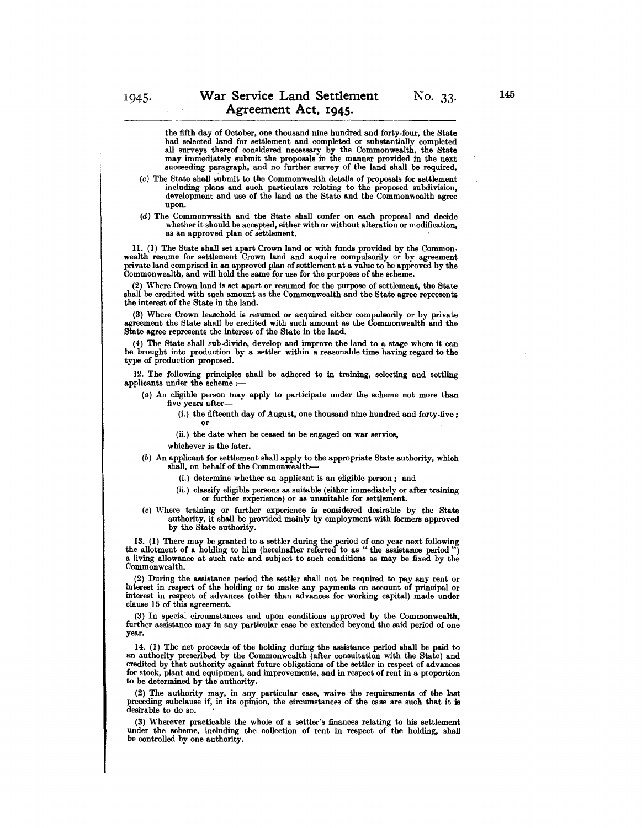the fifth day of October, one thousand nine hundred and forty-four, the State had selected land for settlement and completed or substantially completed all surveys thereof considered necessary by the Commonwealth, the State may immediately submit the proposals in the manner provided in the next succeeding paragraph, and no further survey of the land shall be required.

- (c) The State shall submit to the Commonwcalth details of proposals for settlement development and use of the land as the State and the Commonwealth agree upon.
- (d) The Commonwealth and the State shall confer on each proposal and decide whether it should be accepted, either with or without alteration or modification, as an approved plan of settlement.

11. (1) The State shall set apart Crown land or with funds provided by the Common. wealth resume for settlement Crown land and acquire compulsorily or by agreement private land comprised in an approved plan of settlement at a value to be approved by the Commonwealth, and will hold the same for use for the purposes of the scheme.

(2) Where Crown land is set apart or resumed for the purpose of settlement, the State shall be credited with such amount as the Commonwealth and the State agree represents the interest of the State in the land.

(3) Where Crown leasehold is resumed or acquired either compulsorily or by private agreement the State shall be credited with such amount as the Commonwealth and the State agree represents the interest of the State in the land.

(4) The State shall sub.divide; develop and improve the land to a stage where it can be brought into production by a settler within a reasonable time having regard to the type of production proposed.

12. The following principles shall be adhered to in training, selecting and settling applicants under the scheme :-

- (a) An eligible person may apply to participate under the scheme not more than five years after-
	- (i.) the fifteenth day of August, one thousand nine hundred and forty.five; or
	- (ii.) the date when he ceased to be engaged on war service,

whichever is the later.

- (b) An applicant for settlement shall apply to the appropriate State authority, which shall, on behalf of the Commonwealth-
	- (i.) determine whether an applicant is an eligible person; and
	- (ii.) classify eligible persons as suitable (either immediately or after training or further experience) or as unsuitable for settlement.
- (c) \Vhere training or further experience is considered desirable by the State authority, it shall be provided mainly by employment with farmers approved by the State authority.

13. (1) There may be granted to a settler during the period of one year next following the allotment of a holding to him (hereinafter referred to as "the assistance period ") a living allowance at such rate and subject to such conditions as may be fixed by the Commonwealth.

(2) During the assistance period the settler shall not be required to pay any rent or interest in respect of the holding or to make any payments on account of principal or interest in respect of advances (other than advances for working capital) made under clause 15 of this agreement.

(3) In special circumstances and upon conditions approved by the Commonwealth, further assistance may in any particular case be extended beyond the said period of one year.

14. (1) The net proceeds of the holding during the assistance period shall be paid to an authority prescribed by the Commonwealth (after consultation with the State) and credited by that authority against future obligations of the settler in respect of advances for stock, plant and equipment, and improvements, and in respect of rent in a proportion to be determined by the authority.

(2) The authority may, in any particular case, waive the requirements of the last preceding subclause if, in its opinion, the circumstances of the case are such that it is desirable to do so.

(3) \Vherever practicable the whole of a settler's finances relating to his settlement under the scheme, including the collection of rent in respect of the holding, shall be controlled by one authority.

No. 33.